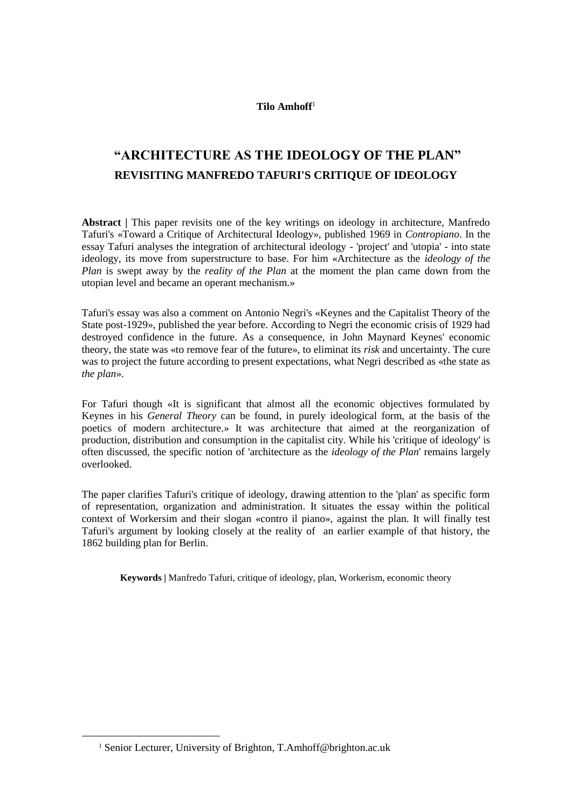#### **Tilo Amhoff**<sup>1</sup>

# **"ARCHITECTURE AS THE IDEOLOGY OF THE PLAN" REVISITING MANFREDO TAFURI'S CRITIQUE OF IDEOLOGY**

**Abstract |** This paper revisits one of the key writings on ideology in architecture, Manfredo Tafuri's «Toward a Critique of Architectural Ideology», published 1969 in *Contropiano*. In the essay Tafuri analyses the integration of architectural ideology - 'project' and 'utopia' - into state ideology, its move from superstructure to base. For him «Architecture as the *ideology of the Plan* is swept away by the *reality of the Plan* at the moment the plan came down from the utopian level and became an operant mechanism.»

Tafuri's essay was also a comment on Antonio Negri's «Keynes and the Capitalist Theory of the State post-1929», published the year before. According to Negri the economic crisis of 1929 had destroyed confidence in the future. As a consequence, in John Maynard Keynes' economic theory, the state was «to remove fear of the future», to eliminat its *risk* and uncertainty. The cure was to project the future according to present expectations, what Negri described as «the state as *the plan*».

For Tafuri though «It is significant that almost all the economic objectives formulated by Keynes in his *General Theory* can be found, in purely ideological form, at the basis of the poetics of modern architecture.» It was architecture that aimed at the reorganization of production, distribution and consumption in the capitalist city. While his 'critique of ideology' is often discussed, the specific notion of 'architecture as the *ideology of the Plan*' remains largely overlooked.

The paper clarifies Tafuri's critique of ideology, drawing attention to the 'plan' as specific form of representation, organization and administration. It situates the essay within the political context of Workersim and their slogan «contro il piano», against the plan. It will finally test Tafuri's argument by looking closely at the reality of an earlier example of that history, the 1862 building plan for Berlin.

**Keywords |** Manfredo Tafuri, critique of ideology, plan, Workerism, economic theory

**.** 

<sup>&</sup>lt;sup>1</sup> Senior Lecturer, University of Brighton, T.Amhoff@brighton.ac.uk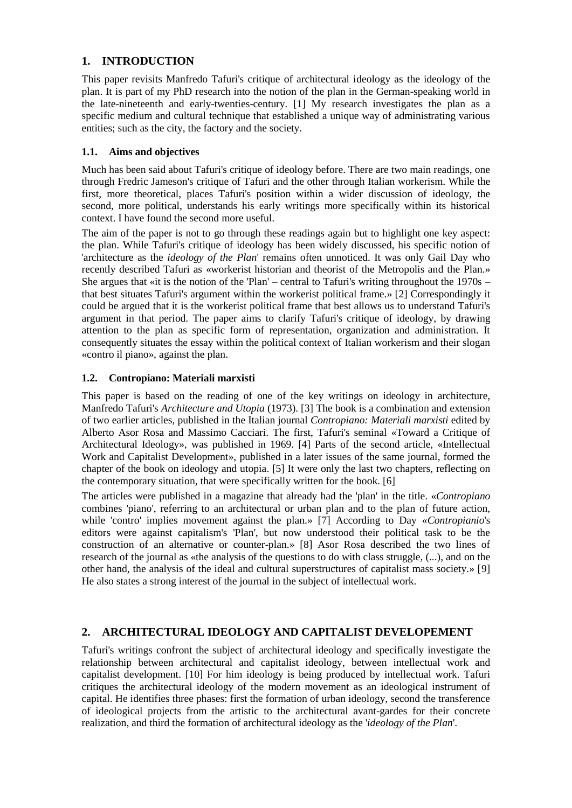# **1. INTRODUCTION**

This paper revisits Manfredo Tafuri's critique of architectural ideology as the ideology of the plan. It is part of my PhD research into the notion of the plan in the German-speaking world in the late-nineteenth and early-twenties-century. [1] My research investigates the plan as a specific medium and cultural technique that established a unique way of administrating various entities; such as the city, the factory and the society.

#### **1.1. Aims and objectives**

Much has been said about Tafuri's critique of ideology before. There are two main readings, one through Fredric Jameson's critique of Tafuri and the other through Italian workerism. While the first, more theoretical, places Tafuri's position within a wider discussion of ideology, the second, more political, understands his early writings more specifically within its historical context. I have found the second more useful.

The aim of the paper is not to go through these readings again but to highlight one key aspect: the plan. While Tafuri's critique of ideology has been widely discussed, his specific notion of 'architecture as the *ideology of the Plan*' remains often unnoticed. It was only Gail Day who recently described Tafuri as «workerist historian and theorist of the Metropolis and the Plan.» She argues that «it is the notion of the 'Plan' – central to Tafuri's writing throughout the 1970s – that best situates Tafuri's argument within the workerist political frame.» [2] Correspondingly it could be argued that it is the workerist political frame that best allows us to understand Tafuri's argument in that period. The paper aims to clarify Tafuri's critique of ideology, by drawing attention to the plan as specific form of representation, organization and administration. It consequently situates the essay within the political context of Italian workerism and their slogan «contro il piano», against the plan.

#### **1.2. Contropiano: Materiali marxisti**

This paper is based on the reading of one of the key writings on ideology in architecture, Manfredo Tafuri's *Architecture and Utopia* (1973). [3] The book is a combination and extension of two earlier articles, published in the Italian journal *Contropiano: Materiali marxisti* edited by Alberto Asor Rosa and Massimo Cacciari. The first, Tafuri's seminal «Toward a Critique of Architectural Ideology», was published in 1969. [4] Parts of the second article, «Intellectual Work and Capitalist Development», published in a later issues of the same journal, formed the chapter of the book on ideology and utopia. [5] It were only the last two chapters, reflecting on the contemporary situation, that were specifically written for the book. [6]

The articles were published in a magazine that already had the 'plan' in the title. «*Contropiano* combines 'piano', referring to an architectural or urban plan and to the plan of future action, while 'contro' implies movement against the plan.» [7] According to Day «*Contropianio*'s editors were against capitalism's 'Plan', but now understood their political task to be the construction of an alternative or counter-plan.» [8] Asor Rosa described the two lines of research of the journal as «the analysis of the questions to do with class struggle, (...), and on the other hand, the analysis of the ideal and cultural superstructures of capitalist mass society.» [9] He also states a strong interest of the journal in the subject of intellectual work.

#### **2. ARCHITECTURAL IDEOLOGY AND CAPITALIST DEVELOPEMENT**

Tafuri's writings confront the subject of architectural ideology and specifically investigate the relationship between architectural and capitalist ideology, between intellectual work and capitalist development. [10] For him ideology is being produced by intellectual work. Tafuri critiques the architectural ideology of the modern movement as an ideological instrument of capital. He identifies three phases: first the formation of urban ideology, second the transference of ideological projects from the artistic to the architectural avant-gardes for their concrete realization, and third the formation of architectural ideology as the '*ideology of the Plan*'.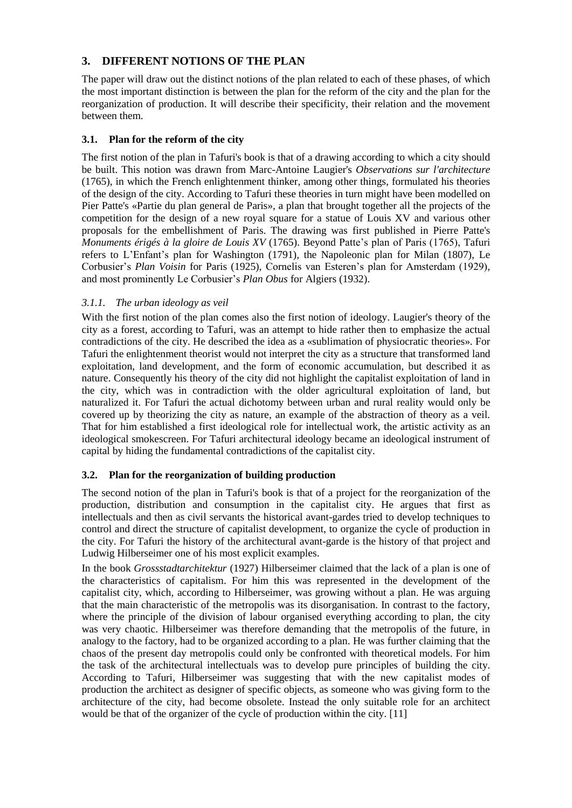# **3. DIFFERENT NOTIONS OF THE PLAN**

The paper will draw out the distinct notions of the plan related to each of these phases, of which the most important distinction is between the plan for the reform of the city and the plan for the reorganization of production. It will describe their specificity, their relation and the movement between them.

## **3.1. Plan for the reform of the city**

The first notion of the plan in Tafuri's book is that of a drawing according to which a city should be built. This notion was drawn from Marc-Antoine Laugier's *Observations sur l'architecture* (1765), in which the French enlightenment thinker, among other things, formulated his theories of the design of the city. According to Tafuri these theories in turn might have been modelled on Pier Patte's «Partie du plan general de Paris», a plan that brought together all the projects of the competition for the design of a new royal square for a statue of Louis XV and various other proposals for the embellishment of Paris. The drawing was first published in Pierre Patte's *Monuments érigés à la gloire de Louis XV* (1765). Beyond Patte's plan of Paris (1765), Tafuri refers to L'Enfant's plan for Washington (1791), the Napoleonic plan for Milan (1807), Le Corbusier's *Plan Voisin* for Paris (1925), Cornelis van Esteren's plan for Amsterdam (1929), and most prominently Le Corbusier's *Plan Obus* for Algiers (1932).

## *3.1.1. The urban ideology as veil*

With the first notion of the plan comes also the first notion of ideology. Laugier's theory of the city as a forest, according to Tafuri, was an attempt to hide rather then to emphasize the actual contradictions of the city. He described the idea as a «sublimation of physiocratic theories». For Tafuri the enlightenment theorist would not interpret the city as a structure that transformed land exploitation, land development, and the form of economic accumulation, but described it as nature. Consequently his theory of the city did not highlight the capitalist exploitation of land in the city, which was in contradiction with the older agricultural exploitation of land, but naturalized it. For Tafuri the actual dichotomy between urban and rural reality would only be covered up by theorizing the city as nature, an example of the abstraction of theory as a veil. That for him established a first ideological role for intellectual work, the artistic activity as an ideological smokescreen. For Tafuri architectural ideology became an ideological instrument of capital by hiding the fundamental contradictions of the capitalist city.

## **3.2. Plan for the reorganization of building production**

The second notion of the plan in Tafuri's book is that of a project for the reorganization of the production, distribution and consumption in the capitalist city. He argues that first as intellectuals and then as civil servants the historical avant-gardes tried to develop techniques to control and direct the structure of capitalist development, to organize the cycle of production in the city. For Tafuri the history of the architectural avant-garde is the history of that project and Ludwig Hilberseimer one of his most explicit examples.

In the book *Grossstadtarchitektur* (1927) Hilberseimer claimed that the lack of a plan is one of the characteristics of capitalism. For him this was represented in the development of the capitalist city, which, according to Hilberseimer, was growing without a plan. He was arguing that the main characteristic of the metropolis was its disorganisation. In contrast to the factory, where the principle of the division of labour organised everything according to plan, the city was very chaotic. Hilberseimer was therefore demanding that the metropolis of the future, in analogy to the factory, had to be organized according to a plan. He was further claiming that the chaos of the present day metropolis could only be confronted with theoretical models. For him the task of the architectural intellectuals was to develop pure principles of building the city. According to Tafuri, Hilberseimer was suggesting that with the new capitalist modes of production the architect as designer of specific objects, as someone who was giving form to the architecture of the city, had become obsolete. Instead the only suitable role for an architect would be that of the organizer of the cycle of production within the city. [11]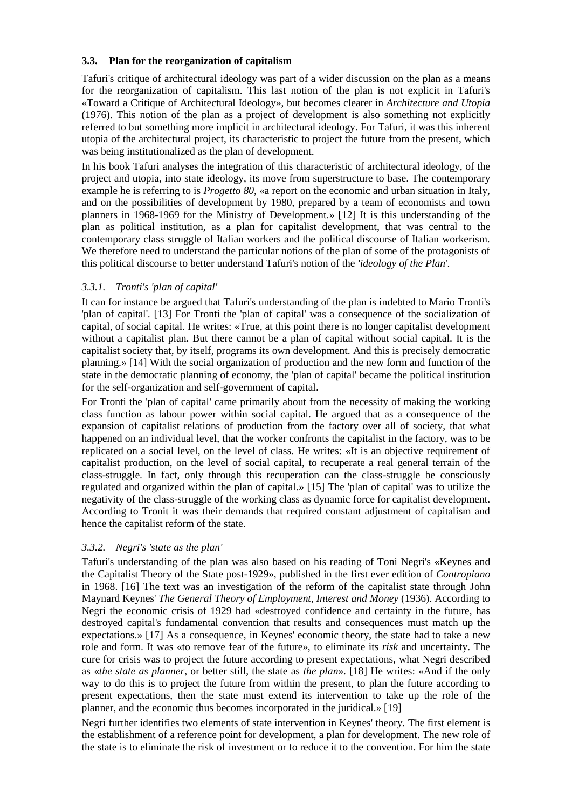#### **3.3. Plan for the reorganization of capitalism**

Tafuri's critique of architectural ideology was part of a wider discussion on the plan as a means for the reorganization of capitalism. This last notion of the plan is not explicit in Tafuri's «Toward a Critique of Architectural Ideology», but becomes clearer in *Architecture and Utopia* (1976). This notion of the plan as a project of development is also something not explicitly referred to but something more implicit in architectural ideology. For Tafuri, it was this inherent utopia of the architectural project, its characteristic to project the future from the present, which was being institutionalized as the plan of development.

In his book Tafuri analyses the integration of this characteristic of architectural ideology, of the project and utopia, into state ideology, its move from superstructure to base. The contemporary example he is referring to is *Progetto 80*, «a report on the economic and urban situation in Italy, and on the possibilities of development by 1980, prepared by a team of economists and town planners in 1968-1969 for the Ministry of Development.» [12] It is this understanding of the plan as political institution, as a plan for capitalist development, that was central to the contemporary class struggle of Italian workers and the political discourse of Italian workerism. We therefore need to understand the particular notions of the plan of some of the protagonists of this political discourse to better understand Tafuri's notion of the *'ideology of the Plan*'.

#### *3.3.1. Tronti's 'plan of capital'*

It can for instance be argued that Tafuri's understanding of the plan is indebted to Mario Tronti's 'plan of capital'. [13] For Tronti the 'plan of capital' was a consequence of the socialization of capital, of social capital. He writes: «True, at this point there is no longer capitalist development without a capitalist plan. But there cannot be a plan of capital without social capital. It is the capitalist society that, by itself, programs its own development. And this is precisely democratic planning.» [14] With the social organization of production and the new form and function of the state in the democratic planning of economy, the 'plan of capital' became the political institution for the self-organization and self-government of capital.

For Tronti the 'plan of capital' came primarily about from the necessity of making the working class function as labour power within social capital. He argued that as a consequence of the expansion of capitalist relations of production from the factory over all of society, that what happened on an individual level, that the worker confronts the capitalist in the factory, was to be replicated on a social level, on the level of class. He writes: «It is an objective requirement of capitalist production, on the level of social capital, to recuperate a real general terrain of the class-struggle. In fact, only through this recuperation can the class-struggle be consciously regulated and organized within the plan of capital.» [15] The 'plan of capital' was to utilize the negativity of the class-struggle of the working class as dynamic force for capitalist development. According to Tronit it was their demands that required constant adjustment of capitalism and hence the capitalist reform of the state.

#### *3.3.2. Negri's 'state as the plan'*

Tafuri's understanding of the plan was also based on his reading of Toni Negri's «Keynes and the Capitalist Theory of the State post-1929», published in the first ever edition of *Contropiano* in 1968. [16] The text was an investigation of the reform of the capitalist state through John Maynard Keynes' *The General Theory of Employment, Interest and Money* (1936). According to Negri the economic crisis of 1929 had «destroyed confidence and certainty in the future, has destroyed capital's fundamental convention that results and consequences must match up the expectations.» [17] As a consequence, in Keynes' economic theory, the state had to take a new role and form. It was «to remove fear of the future», to eliminate its *risk* and uncertainty. The cure for crisis was to project the future according to present expectations, what Negri described as «*the state as planner*, or better still, the state as *the plan*». [18] He writes: «And if the only way to do this is to project the future from within the present, to plan the future according to present expectations, then the state must extend its intervention to take up the role of the planner, and the economic thus becomes incorporated in the juridical.» [19]

Negri further identifies two elements of state intervention in Keynes' theory. The first element is the establishment of a reference point for development, a plan for development. The new role of the state is to eliminate the risk of investment or to reduce it to the convention. For him the state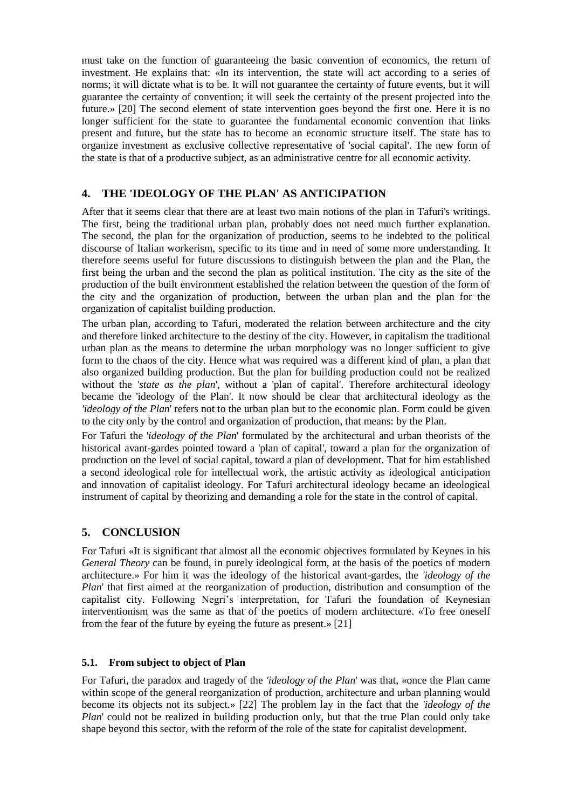must take on the function of guaranteeing the basic convention of economics, the return of investment. He explains that: «In its intervention, the state will act according to a series of norms; it will dictate what is to be. It will not guarantee the certainty of future events, but it will guarantee the certainty of convention; it will seek the certainty of the present projected into the future.» [20] The second element of state intervention goes beyond the first one. Here it is no longer sufficient for the state to guarantee the fundamental economic convention that links present and future, but the state has to become an economic structure itself. The state has to organize investment as exclusive collective representative of 'social capital'. The new form of the state is that of a productive subject, as an administrative centre for all economic activity.

## **4. THE 'IDEOLOGY OF THE PLAN' AS ANTICIPATION**

After that it seems clear that there are at least two main notions of the plan in Tafuri's writings. The first, being the traditional urban plan, probably does not need much further explanation. The second, the plan for the organization of production, seems to be indebted to the political discourse of Italian workerism, specific to its time and in need of some more understanding. It therefore seems useful for future discussions to distinguish between the plan and the Plan, the first being the urban and the second the plan as political institution. The city as the site of the production of the built environment established the relation between the question of the form of the city and the organization of production, between the urban plan and the plan for the organization of capitalist building production.

The urban plan, according to Tafuri, moderated the relation between architecture and the city and therefore linked architecture to the destiny of the city. However, in capitalism the traditional urban plan as the means to determine the urban morphology was no longer sufficient to give form to the chaos of the city. Hence what was required was a different kind of plan, a plan that also organized building production. But the plan for building production could not be realized without the *'state as the plan*', without a 'plan of capital'. Therefore architectural ideology became the 'ideology of the Plan'. It now should be clear that architectural ideology as the *'ideology of the Plan*' refers not to the urban plan but to the economic plan. Form could be given to the city only by the control and organization of production, that means: by the Plan.

For Tafuri the '*ideology of the Plan*' formulated by the architectural and urban theorists of the historical avant-gardes pointed toward a 'plan of capital', toward a plan for the organization of production on the level of social capital, toward a plan of development. That for him established a second ideological role for intellectual work, the artistic activity as ideological anticipation and innovation of capitalist ideology. For Tafuri architectural ideology became an ideological instrument of capital by theorizing and demanding a role for the state in the control of capital.

#### **5. CONCLUSION**

For Tafuri «It is significant that almost all the economic objectives formulated by Keynes in his *General Theory* can be found, in purely ideological form, at the basis of the poetics of modern architecture.» For him it was the ideology of the historical avant-gardes, the *'ideology of the Plan*' that first aimed at the reorganization of production, distribution and consumption of the capitalist city. Following Negri's interpretation, for Tafuri the foundation of Keynesian interventionism was the same as that of the poetics of modern architecture. «To free oneself from the fear of the future by eyeing the future as present.» [21]

#### **5.1. From subject to object of Plan**

For Tafuri, the paradox and tragedy of the *'ideology of the Plan*' was that, «once the Plan came within scope of the general reorganization of production, architecture and urban planning would become its objects not its subject.» [22] The problem lay in the fact that the *'ideology of the Plan*' could not be realized in building production only, but that the true Plan could only take shape beyond this sector, with the reform of the role of the state for capitalist development.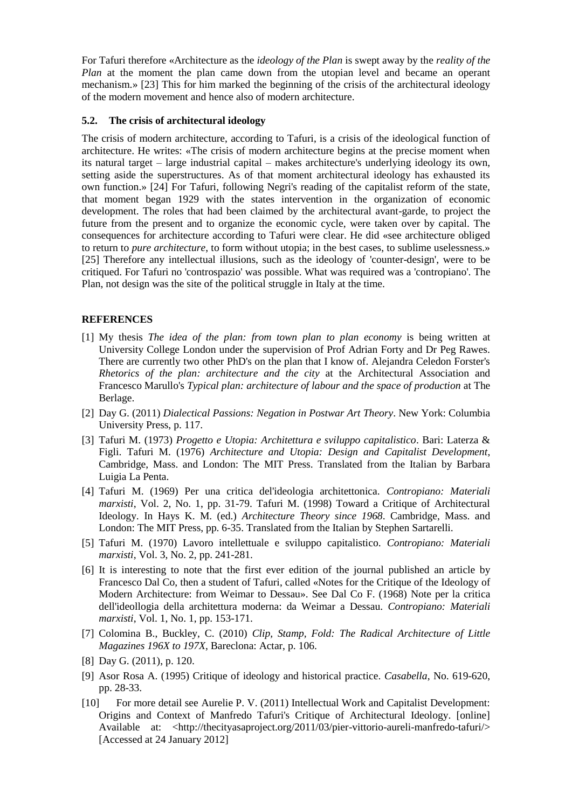For Tafuri therefore «Architecture as the *ideology of the Plan* is swept away by the *reality of the Plan* at the moment the plan came down from the utopian level and became an operant mechanism.» [23] This for him marked the beginning of the crisis of the architectural ideology of the modern movement and hence also of modern architecture.

## **5.2. The crisis of architectural ideology**

The crisis of modern architecture, according to Tafuri, is a crisis of the ideological function of architecture. He writes: «The crisis of modern architecture begins at the precise moment when its natural target – large industrial capital – makes architecture's underlying ideology its own, setting aside the superstructures. As of that moment architectural ideology has exhausted its own function.» [24] For Tafuri, following Negri's reading of the capitalist reform of the state, that moment began 1929 with the states intervention in the organization of economic development. The roles that had been claimed by the architectural avant-garde, to project the future from the present and to organize the economic cycle, were taken over by capital. The consequences for architecture according to Tafuri were clear. He did «see architecture obliged to return to *pure architecture*, to form without utopia; in the best cases, to sublime uselessness.» [25] Therefore any intellectual illusions, such as the ideology of 'counter-design', were to be critiqued. For Tafuri no 'controspazio' was possible. What was required was a 'contropiano'. The Plan, not design was the site of the political struggle in Italy at the time.

## **REFERENCES**

- [1] My thesis *The idea of the plan: from town plan to plan economy* is being written at University College London under the supervision of Prof Adrian Forty and Dr Peg Rawes. There are currently two other PhD's on the plan that I know of. Alejandra Celedon Forster's *Rhetorics of the plan: architecture and the city* at the Architectural Association and Francesco Marullo's *Typical plan: architecture of labour and the space of production* at The Berlage.
- [2] Day G. (2011) *Dialectical Passions: Negation in Postwar Art Theory*. New York: Columbia University Press, p. 117.
- [3] Tafuri M. (1973) *Progetto e Utopia: Architettura e sviluppo capitalistico*. Bari: Laterza & Figli. Tafuri M. (1976) *Architecture and Utopia: Design and Capitalist Development*, Cambridge, Mass. and London: The MIT Press. Translated from the Italian by Barbara Luigia La Penta.
- [4] Tafuri M. (1969) Per una critica del'ideologia architettonica. *Contropiano: Materiali marxisti*, Vol. 2, No. 1, pp. 31-79. Tafuri M. (1998) Toward a Critique of Architectural Ideology. In Hays K. M. (ed.) *Architecture Theory since 1968*. Cambridge, Mass. and London: The MIT Press, pp. 6-35. Translated from the Italian by Stephen Sartarelli.
- [5] Tafuri M. (1970) Lavoro intellettuale e sviluppo capitalistico. *Contropiano: Materiali marxisti*, Vol. 3, No. 2, pp. 241-281.
- [6] It is interesting to note that the first ever edition of the journal published an article by Francesco Dal Co, then a student of Tafuri, called «Notes for the Critique of the Ideology of Modern Architecture: from Weimar to Dessau». See Dal Co F. (1968) Note per la critica dell'ideollogia della architettura moderna: da Weimar a Dessau. *Contropiano: Materiali marxisti*, Vol. 1, No. 1, pp. 153-171.
- [7] Colomina B., Buckley, C. (2010) *Clip, Stamp, Fold: The Radical Architecture of Little Magazines 196X to 197X*, Bareclona: Actar, p. 106.
- [8] Day G. (2011), p. 120.
- [9] Asor Rosa A. (1995) Critique of ideology and historical practice. *Casabella*, No. 619-620, pp. 28-33.
- [10] For more detail see Aurelie P. V. (2011) Intellectual Work and Capitalist Development: Origins and Context of Manfredo Tafuri's Critique of Architectural Ideology. [online] Available at: <http://thecityasaproject.org/2011/03/pier-vittorio-aureli-manfredo-tafuri/> [Accessed at 24 January 2012]